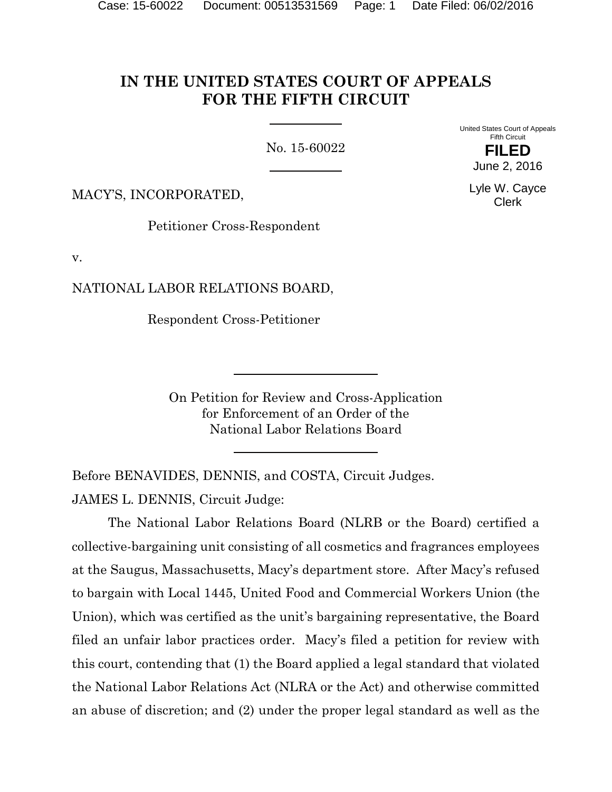# **IN THE UNITED STATES COURT OF APPEALS FOR THE FIFTH CIRCUIT**

No. 15-60022

United States Court of Appeals Fifth Circuit

> **FILED** June 2, 2016

MACY'S, INCORPORATED,

Petitioner Cross-Respondent

v.

NATIONAL LABOR RELATIONS BOARD,

Respondent Cross-Petitioner

On Petition for Review and Cross-Application for Enforcement of an Order of the National Labor Relations Board

Before BENAVIDES, DENNIS, and COSTA, Circuit Judges. JAMES L. DENNIS, Circuit Judge:

The National Labor Relations Board (NLRB or the Board) certified a collective-bargaining unit consisting of all cosmetics and fragrances employees at the Saugus, Massachusetts, Macy's department store. After Macy's refused to bargain with Local 1445, United Food and Commercial Workers Union (the Union), which was certified as the unit's bargaining representative, the Board filed an unfair labor practices order. Macy's filed a petition for review with this court, contending that (1) the Board applied a legal standard that violated the National Labor Relations Act (NLRA or the Act) and otherwise committed an abuse of discretion; and (2) under the proper legal standard as well as the

Lyle W. Cayce Clerk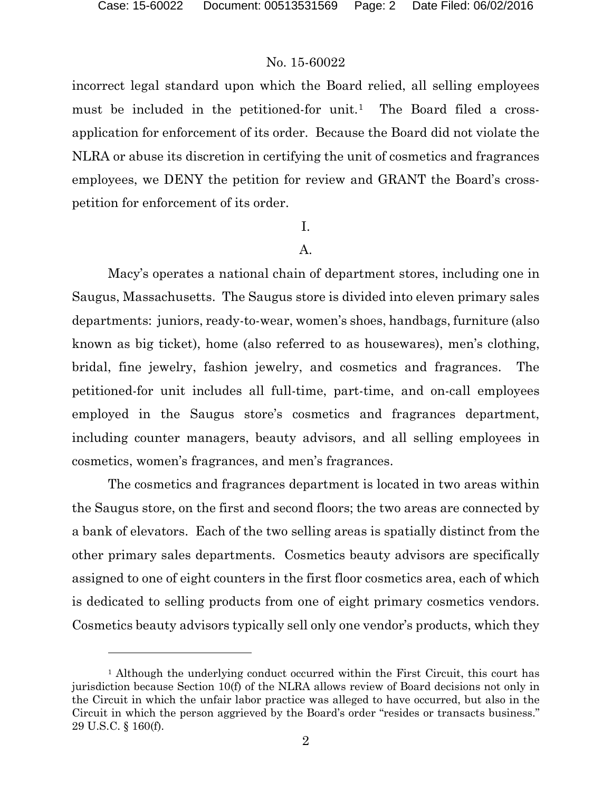l

# No. 15-60022

incorrect legal standard upon which the Board relied, all selling employees must be included in the petitioned-for unit.<sup>[1](#page-1-0)</sup> The Board filed a crossapplication for enforcement of its order. Because the Board did not violate the NLRA or abuse its discretion in certifying the unit of cosmetics and fragrances employees, we DENY the petition for review and GRANT the Board's crosspetition for enforcement of its order.

# I.

# A.

Macy's operates a national chain of department stores, including one in Saugus, Massachusetts. The Saugus store is divided into eleven primary sales departments: juniors, ready-to-wear, women's shoes, handbags, furniture (also known as big ticket), home (also referred to as housewares), men's clothing, bridal, fine jewelry, fashion jewelry, and cosmetics and fragrances. The petitioned-for unit includes all full-time, part-time, and on-call employees employed in the Saugus store's cosmetics and fragrances department, including counter managers, beauty advisors, and all selling employees in cosmetics, women's fragrances, and men's fragrances.

The cosmetics and fragrances department is located in two areas within the Saugus store, on the first and second floors; the two areas are connected by a bank of elevators. Each of the two selling areas is spatially distinct from the other primary sales departments. Cosmetics beauty advisors are specifically assigned to one of eight counters in the first floor cosmetics area, each of which is dedicated to selling products from one of eight primary cosmetics vendors. Cosmetics beauty advisors typically sell only one vendor's products, which they

<span id="page-1-0"></span><sup>1</sup> Although the underlying conduct occurred within the First Circuit, this court has jurisdiction because Section 10(f) of the NLRA allows review of Board decisions not only in the Circuit in which the unfair labor practice was alleged to have occurred, but also in the Circuit in which the person aggrieved by the Board's order "resides or transacts business." 29 U.S.C. § 160(f).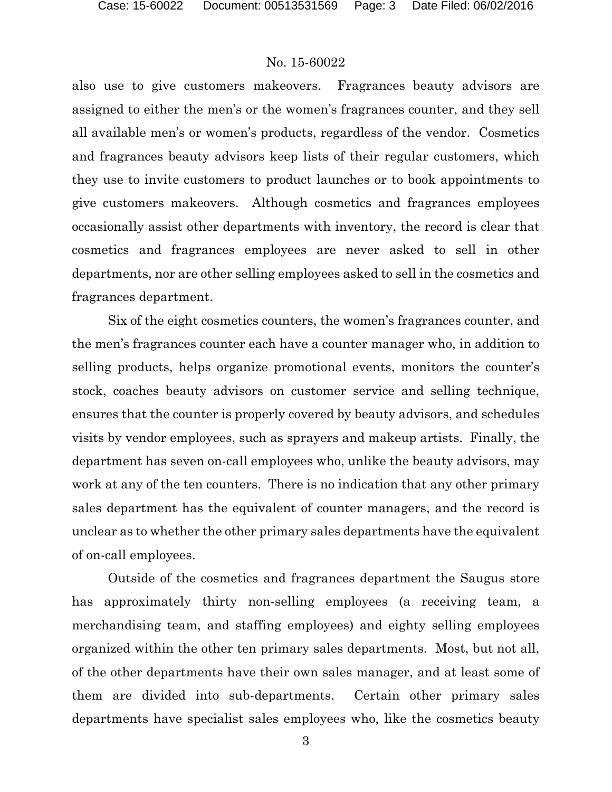also use to give customers makeovers. Fragrances beauty advisors are assigned to either the men's or the women's fragrances counter, and they sell all available men's or women's products, regardless of the vendor. Cosmetics and fragrances beauty advisors keep lists of their regular customers, which they use to invite customers to product launches or to book appointments to give customers makeovers. Although cosmetics and fragrances employees occasionally assist other departments with inventory, the record is clear that cosmetics and fragrances employees are never asked to sell in other departments, nor are other selling employees asked to sell in the cosmetics and fragrances department.

Six of the eight cosmetics counters, the women's fragrances counter, and the men's fragrances counter each have a counter manager who, in addition to selling products, helps organize promotional events, monitors the counter's stock, coaches beauty advisors on customer service and selling technique, ensures that the counter is properly covered by beauty advisors, and schedules visits by vendor employees, such as sprayers and makeup artists. Finally, the department has seven on-call employees who, unlike the beauty advisors, may work at any of the ten counters. There is no indication that any other primary sales department has the equivalent of counter managers, and the record is unclear as to whether the other primary sales departments have the equivalent of on-call employees.

Outside of the cosmetics and fragrances department the Saugus store has approximately thirty non-selling employees (a receiving team, a merchandising team, and staffing employees) and eighty selling employees organized within the other ten primary sales departments. Most, but not all, of the other departments have their own sales manager, and at least some of them are divided into sub-departments. Certain other primary sales departments have specialist sales employees who, like the cosmetics beauty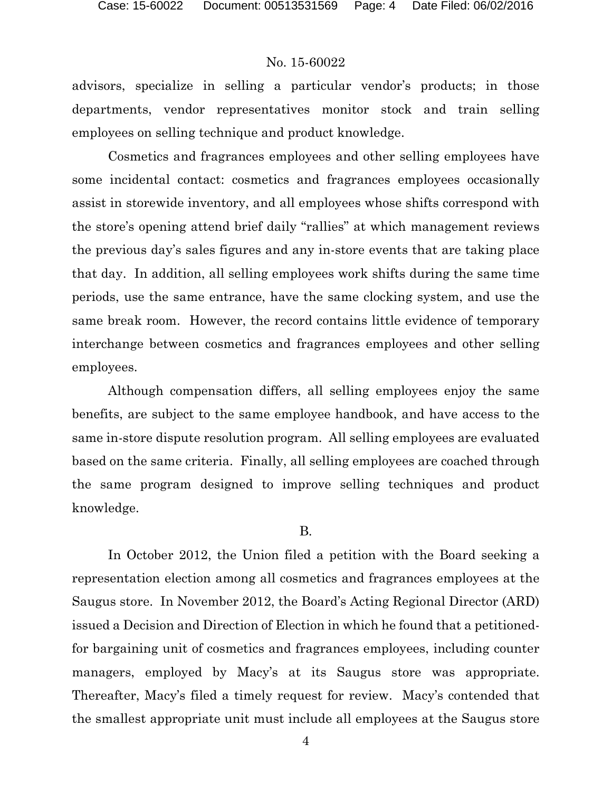advisors, specialize in selling a particular vendor's products; in those departments, vendor representatives monitor stock and train selling employees on selling technique and product knowledge.

Cosmetics and fragrances employees and other selling employees have some incidental contact: cosmetics and fragrances employees occasionally assist in storewide inventory, and all employees whose shifts correspond with the store's opening attend brief daily "rallies" at which management reviews the previous day's sales figures and any in-store events that are taking place that day. In addition, all selling employees work shifts during the same time periods, use the same entrance, have the same clocking system, and use the same break room. However, the record contains little evidence of temporary interchange between cosmetics and fragrances employees and other selling employees.

Although compensation differs, all selling employees enjoy the same benefits, are subject to the same employee handbook, and have access to the same in-store dispute resolution program. All selling employees are evaluated based on the same criteria. Finally, all selling employees are coached through the same program designed to improve selling techniques and product knowledge.

### B.

In October 2012, the Union filed a petition with the Board seeking a representation election among all cosmetics and fragrances employees at the Saugus store. In November 2012, the Board's Acting Regional Director (ARD) issued a Decision and Direction of Election in which he found that a petitionedfor bargaining unit of cosmetics and fragrances employees, including counter managers, employed by Macy's at its Saugus store was appropriate. Thereafter, Macy's filed a timely request for review. Macy's contended that the smallest appropriate unit must include all employees at the Saugus store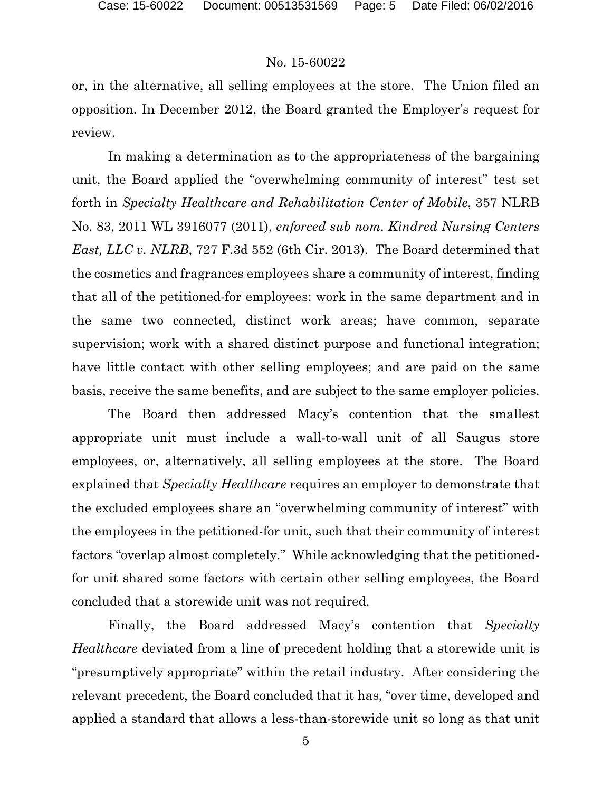or, in the alternative, all selling employees at the store. The Union filed an opposition. In December 2012, the Board granted the Employer's request for review.

In making a determination as to the appropriateness of the bargaining unit, the Board applied the "overwhelming community of interest" test set forth in *Specialty Healthcare and Rehabilitation Center of Mobile*, 357 NLRB No. 83, 2011 WL 3916077 (2011), *enforced sub nom. Kindred Nursing Centers East, LLC v. NLRB*, 727 F.3d 552 (6th Cir. 2013). The Board determined that the cosmetics and fragrances employees share a community of interest, finding that all of the petitioned-for employees: work in the same department and in the same two connected, distinct work areas; have common, separate supervision; work with a shared distinct purpose and functional integration; have little contact with other selling employees; and are paid on the same basis, receive the same benefits, and are subject to the same employer policies.

The Board then addressed Macy's contention that the smallest appropriate unit must include a wall-to-wall unit of all Saugus store employees, or, alternatively, all selling employees at the store. The Board explained that *Specialty Healthcare* requires an employer to demonstrate that the excluded employees share an "overwhelming community of interest" with the employees in the petitioned-for unit, such that their community of interest factors "overlap almost completely." While acknowledging that the petitionedfor unit shared some factors with certain other selling employees, the Board concluded that a storewide unit was not required.

Finally, the Board addressed Macy's contention that *Specialty Healthcare* deviated from a line of precedent holding that a storewide unit is "presumptively appropriate" within the retail industry. After considering the relevant precedent, the Board concluded that it has, "over time, developed and applied a standard that allows a less-than-storewide unit so long as that unit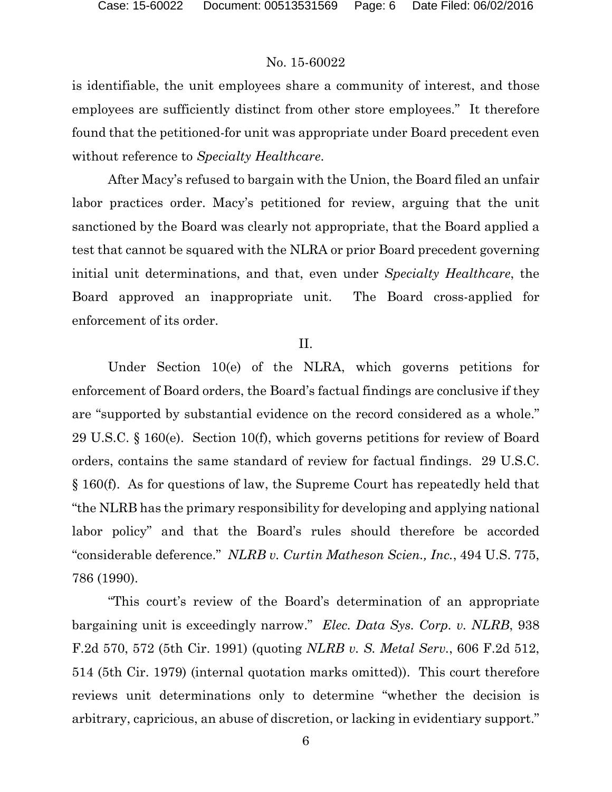is identifiable, the unit employees share a community of interest, and those employees are sufficiently distinct from other store employees." It therefore found that the petitioned-for unit was appropriate under Board precedent even without reference to *Specialty Healthcare*.

After Macy's refused to bargain with the Union, the Board filed an unfair labor practices order. Macy's petitioned for review, arguing that the unit sanctioned by the Board was clearly not appropriate, that the Board applied a test that cannot be squared with the NLRA or prior Board precedent governing initial unit determinations, and that, even under *Specialty Healthcare*, the Board approved an inappropriate unit. The Board cross-applied for enforcement of its order.

#### II.

Under Section 10(e) of the NLRA, which governs petitions for enforcement of Board orders, the Board's factual findings are conclusive if they are "supported by substantial evidence on the record considered as a whole." 29 U.S.C. § 160(e). Section 10(f), which governs petitions for review of Board orders, contains the same standard of review for factual findings. 29 U.S.C. § 160(f). As for questions of law, the Supreme Court has repeatedly held that "the NLRB has the primary responsibility for developing and applying national labor policy" and that the Board's rules should therefore be accorded "considerable deference." *NLRB v. Curtin Matheson Scien., Inc.*, 494 U.S. 775, 786 (1990).

"This court's review of the Board's determination of an appropriate bargaining unit is exceedingly narrow." *Elec. Data Sys. Corp. v. NLRB*, 938 F.2d 570, 572 (5th Cir. 1991) (quoting *NLRB v. S. Metal Serv.*, 606 F.2d 512, 514 (5th Cir. 1979) (internal quotation marks omitted)). This court therefore reviews unit determinations only to determine "whether the decision is arbitrary, capricious, an abuse of discretion, or lacking in evidentiary support."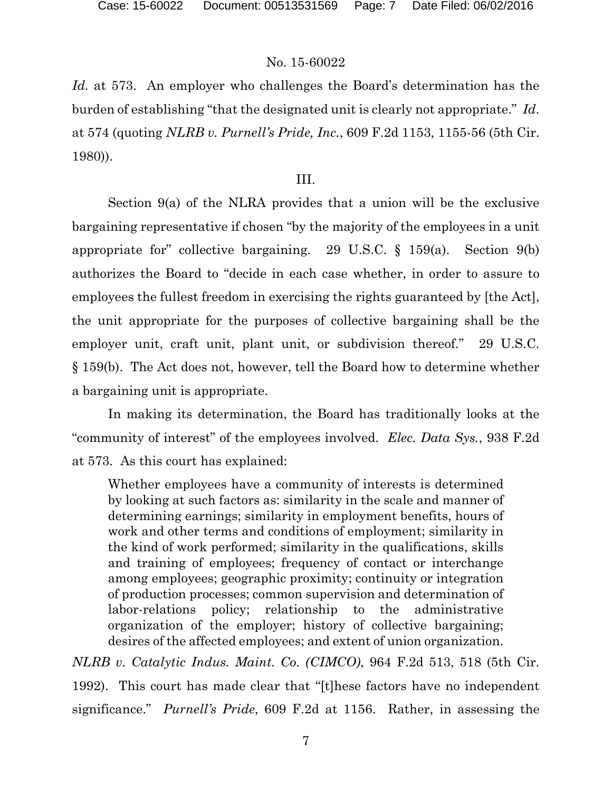*Id.* at 573. An employer who challenges the Board's determination has the burden of establishing "that the designated unit is clearly not appropriate." *Id*. at 574 (quoting *NLRB v. Purnell's Pride, Inc.*, 609 F.2d 1153, 1155-56 (5th Cir. 1980)).

#### III.

Section 9(a) of the NLRA provides that a union will be the exclusive bargaining representative if chosen "by the majority of the employees in a unit appropriate for" collective bargaining. 29 U.S.C. § 159(a). Section 9(b) authorizes the Board to "decide in each case whether, in order to assure to employees the fullest freedom in exercising the rights guaranteed by [the Act], the unit appropriate for the purposes of collective bargaining shall be the employer unit, craft unit, plant unit, or subdivision thereof." 29 U.S.C. § 159(b). The Act does not, however, tell the Board how to determine whether a bargaining unit is appropriate.

In making its determination, the Board has traditionally looks at the "community of interest" of the employees involved. *Elec. Data Sys.*, 938 F.2d at 573. As this court has explained:

Whether employees have a community of interests is determined by looking at such factors as: similarity in the scale and manner of determining earnings; similarity in employment benefits, hours of work and other terms and conditions of employment; similarity in the kind of work performed; similarity in the qualifications, skills and training of employees; frequency of contact or interchange among employees; geographic proximity; continuity or integration of production processes; common supervision and determination of labor-relations policy; relationship to the administrative organization of the employer; history of collective bargaining; desires of the affected employees; and extent of union organization.

*NLRB v. Catalytic Indus. Maint. Co. (CIMCO)*, 964 F.2d 513, 518 (5th Cir. 1992). This court has made clear that "[t]hese factors have no independent significance." *Purnell's Pride*, 609 F.2d at 1156. Rather, in assessing the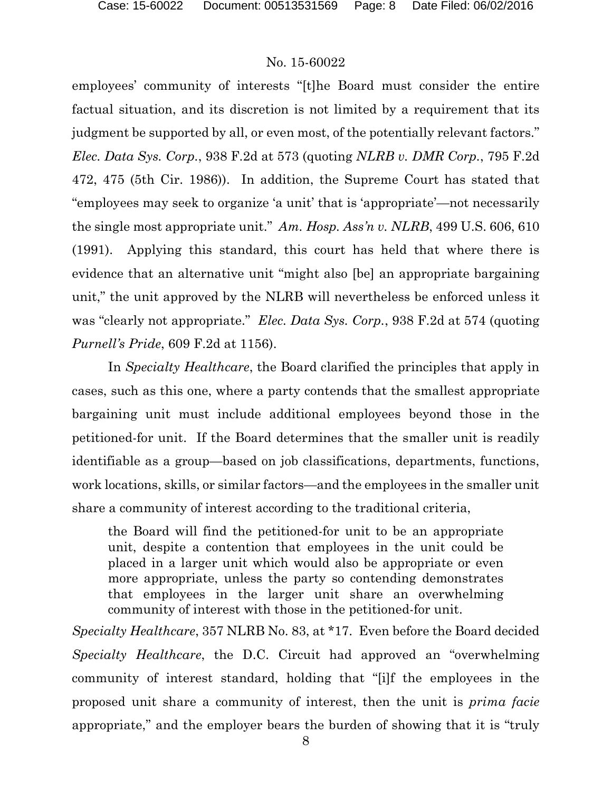employees' community of interests "[t]he Board must consider the entire factual situation, and its discretion is not limited by a requirement that its judgment be supported by all, or even most, of the potentially relevant factors." *Elec. Data Sys. Corp.*, 938 F.2d at 573 (quoting *NLRB v. DMR Corp.*, 795 F.2d 472, 475 (5th Cir. 1986)). In addition, the Supreme Court has stated that "employees may seek to organize 'a unit' that is 'appropriate'—not necessarily the single most appropriate unit." *Am. Hosp. Ass'n v. NLRB*, 499 U.S. 606, 610 (1991). Applying this standard, this court has held that where there is evidence that an alternative unit "might also [be] an appropriate bargaining unit," the unit approved by the NLRB will nevertheless be enforced unless it was "clearly not appropriate." *Elec. Data Sys. Corp.*, 938 F.2d at 574 (quoting *Purnell's Pride*, 609 F.2d at 1156).

In *Specialty Healthcare*, the Board clarified the principles that apply in cases, such as this one, where a party contends that the smallest appropriate bargaining unit must include additional employees beyond those in the petitioned-for unit. If the Board determines that the smaller unit is readily identifiable as a group—based on job classifications, departments, functions, work locations, skills, or similar factors—and the employees in the smaller unit share a community of interest according to the traditional criteria,

the Board will find the petitioned-for unit to be an appropriate unit, despite a contention that employees in the unit could be placed in a larger unit which would also be appropriate or even more appropriate, unless the party so contending demonstrates that employees in the larger unit share an overwhelming community of interest with those in the petitioned-for unit.

*Specialty Healthcare*, 357 NLRB No. 83, at \*17. Even before the Board decided *Specialty Healthcare*, the D.C. Circuit had approved an "overwhelming community of interest standard, holding that "[i]f the employees in the proposed unit share a community of interest, then the unit is *prima facie* appropriate," and the employer bears the burden of showing that it is "truly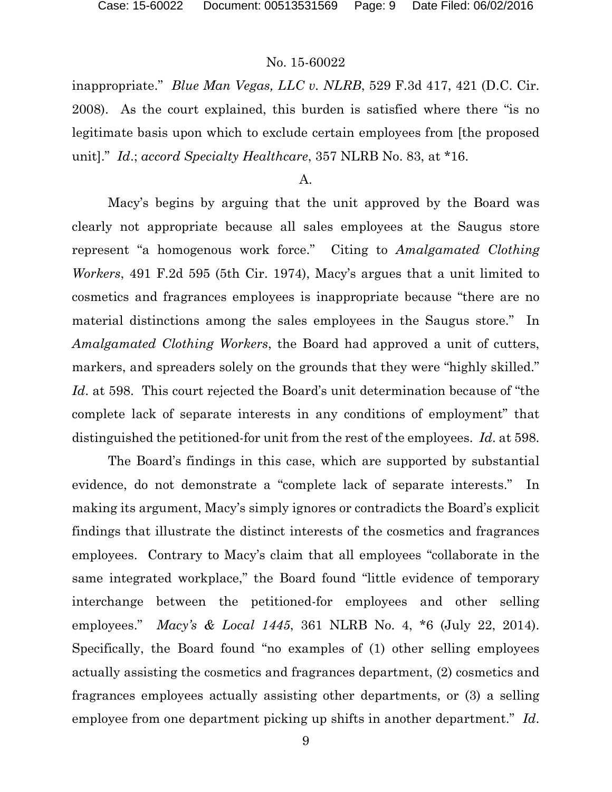inappropriate." *Blue Man Vegas, LLC v. NLRB*, 529 F.3d 417, 421 (D.C. Cir. 2008). As the court explained, this burden is satisfied where there "is no legitimate basis upon which to exclude certain employees from [the proposed unit]." *Id*.; *accord Specialty Healthcare*, 357 NLRB No. 83, at \*16.

#### A.

Macy's begins by arguing that the unit approved by the Board was clearly not appropriate because all sales employees at the Saugus store represent "a homogenous work force." Citing to *Amalgamated Clothing Workers*, 491 F.2d 595 (5th Cir. 1974), Macy's argues that a unit limited to cosmetics and fragrances employees is inappropriate because "there are no material distinctions among the sales employees in the Saugus store." In *Amalgamated Clothing Workers*, the Board had approved a unit of cutters, markers, and spreaders solely on the grounds that they were "highly skilled." *Id*. at 598. This court rejected the Board's unit determination because of "the complete lack of separate interests in any conditions of employment" that distinguished the petitioned-for unit from the rest of the employees. *Id*. at 598.

The Board's findings in this case, which are supported by substantial evidence, do not demonstrate a "complete lack of separate interests." In making its argument, Macy's simply ignores or contradicts the Board's explicit findings that illustrate the distinct interests of the cosmetics and fragrances employees. Contrary to Macy's claim that all employees "collaborate in the same integrated workplace," the Board found "little evidence of temporary interchange between the petitioned-for employees and other selling employees." *Macy's & Local 1445*, 361 NLRB No. 4, \*6 (July 22, 2014). Specifically, the Board found "no examples of (1) other selling employees actually assisting the cosmetics and fragrances department, (2) cosmetics and fragrances employees actually assisting other departments, or (3) a selling employee from one department picking up shifts in another department." *Id*.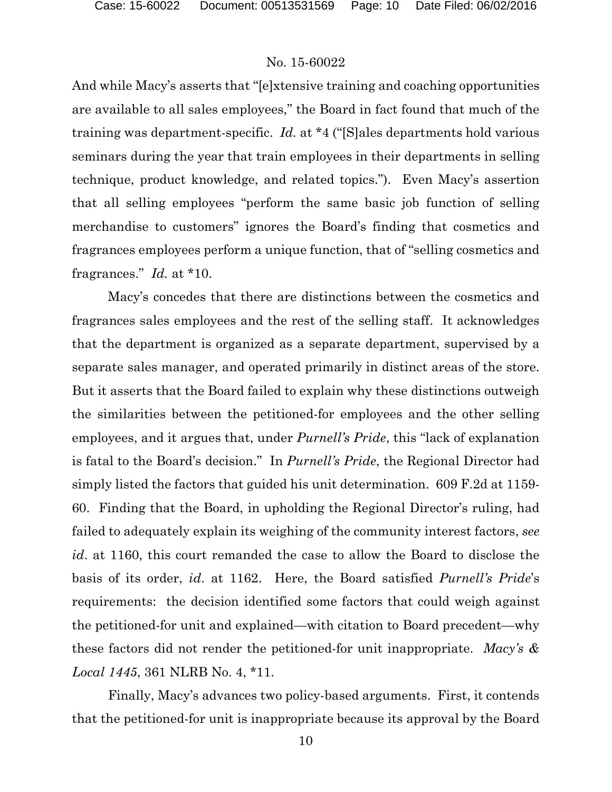And while Macy's asserts that "[e]xtensive training and coaching opportunities are available to all sales employees," the Board in fact found that much of the training was department-specific. *Id.* at \*4 ("[S]ales departments hold various seminars during the year that train employees in their departments in selling technique, product knowledge, and related topics."). Even Macy's assertion that all selling employees "perform the same basic job function of selling merchandise to customers" ignores the Board's finding that cosmetics and fragrances employees perform a unique function, that of "selling cosmetics and fragrances." *Id.* at \*10.

Macy's concedes that there are distinctions between the cosmetics and fragrances sales employees and the rest of the selling staff. It acknowledges that the department is organized as a separate department, supervised by a separate sales manager, and operated primarily in distinct areas of the store. But it asserts that the Board failed to explain why these distinctions outweigh the similarities between the petitioned-for employees and the other selling employees, and it argues that, under *Purnell's Pride*, this "lack of explanation is fatal to the Board's decision." In *Purnell's Pride*, the Regional Director had simply listed the factors that guided his unit determination. 609 F.2d at 1159- 60. Finding that the Board, in upholding the Regional Director's ruling, had failed to adequately explain its weighing of the community interest factors, *see id*. at 1160, this court remanded the case to allow the Board to disclose the basis of its order, *id*. at 1162. Here, the Board satisfied *Purnell's Pride*'s requirements: the decision identified some factors that could weigh against the petitioned-for unit and explained—with citation to Board precedent—why these factors did not render the petitioned-for unit inappropriate. *Macy's & Local 1445*, 361 NLRB No. 4, \*11.

Finally, Macy's advances two policy-based arguments. First, it contends that the petitioned-for unit is inappropriate because its approval by the Board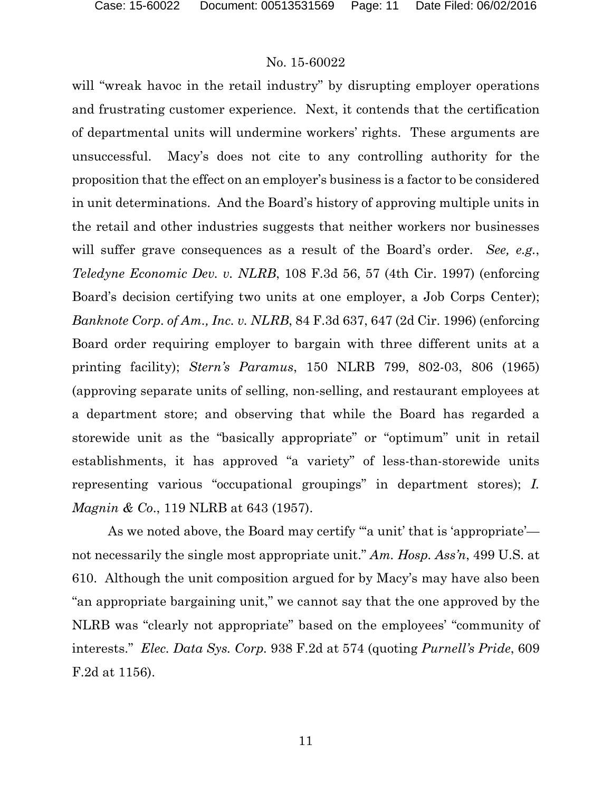will "wreak havoc in the retail industry" by disrupting employer operations and frustrating customer experience. Next, it contends that the certification of departmental units will undermine workers' rights. These arguments are unsuccessful. Macy's does not cite to any controlling authority for the proposition that the effect on an employer's business is a factor to be considered in unit determinations. And the Board's history of approving multiple units in the retail and other industries suggests that neither workers nor businesses will suffer grave consequences as a result of the Board's order. *See, e.g.*, *Teledyne Economic Dev. v. NLRB*, 108 F.3d 56, 57 (4th Cir. 1997) (enforcing Board's decision certifying two units at one employer, a Job Corps Center); *Banknote Corp. of Am., Inc. v. NLRB*, 84 F.3d 637, 647 (2d Cir. 1996) (enforcing Board order requiring employer to bargain with three different units at a printing facility); *Stern's Paramus*, 150 NLRB 799, 802-03, 806 (1965) (approving separate units of selling, non-selling, and restaurant employees at a department store; and observing that while the Board has regarded a storewide unit as the "basically appropriate" or "optimum" unit in retail establishments, it has approved "a variety" of less-than-storewide units representing various "occupational groupings" in department stores); *I. Magnin & Co*., 119 NLRB at 643 (1957).

As we noted above, the Board may certify "'a unit' that is 'appropriate' not necessarily the single most appropriate unit." *Am. Hosp. Ass'n*, 499 U.S. at 610. Although the unit composition argued for by Macy's may have also been "an appropriate bargaining unit," we cannot say that the one approved by the NLRB was "clearly not appropriate" based on the employees' "community of interests." *Elec. Data Sys. Corp.* 938 F.2d at 574 (quoting *Purnell's Pride*, 609 F.2d at 1156).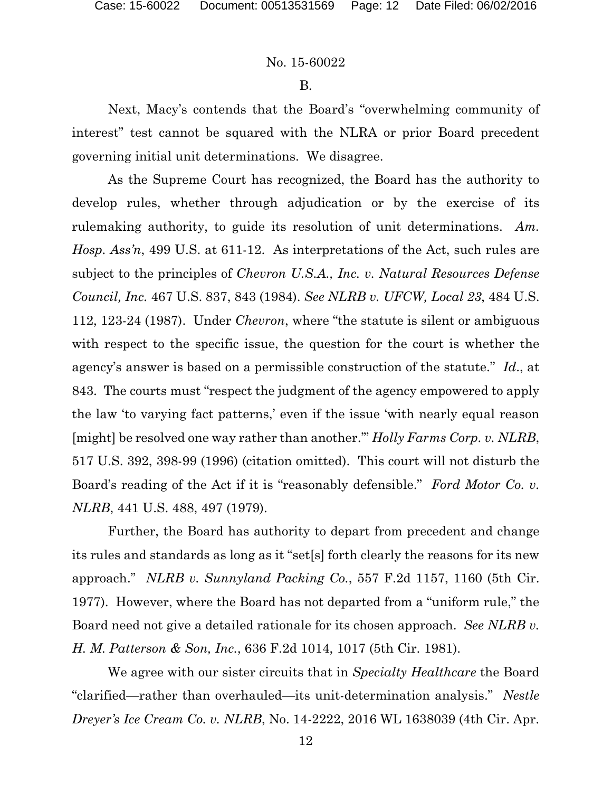#### B.

Next, Macy's contends that the Board's "overwhelming community of interest" test cannot be squared with the NLRA or prior Board precedent governing initial unit determinations. We disagree.

As the Supreme Court has recognized, the Board has the authority to develop rules, whether through adjudication or by the exercise of its rulemaking authority, to guide its resolution of unit determinations. *Am. Hosp. Ass'n*, 499 U.S. at 611-12. As interpretations of the Act, such rules are subject to the principles of *Chevron U.S.A., Inc. v. Natural Resources Defense Council, Inc.* 467 U.S. 837, 843 (1984). *See NLRB v. UFCW, Local 23*, 484 U.S. 112, 123-24 (1987). Under *Chevron*, where "the statute is silent or ambiguous with respect to the specific issue, the question for the court is whether the agency's answer is based on a permissible construction of the statute." *Id*., at 843. The courts must "respect the judgment of the agency empowered to apply the law 'to varying fact patterns,' even if the issue 'with nearly equal reason [might] be resolved one way rather than another.'" *Holly Farms Corp. v. NLRB*, 517 U.S. 392, 398-99 (1996) (citation omitted). This court will not disturb the Board's reading of the Act if it is "reasonably defensible." *Ford Motor Co. v. NLRB*, 441 U.S. 488, 497 (1979).

Further, the Board has authority to depart from precedent and change its rules and standards as long as it "set[s] forth clearly the reasons for its new approach." *NLRB v. Sunnyland Packing Co.*, 557 F.2d 1157, 1160 (5th Cir. 1977). However, where the Board has not departed from a "uniform rule," the Board need not give a detailed rationale for its chosen approach. *See NLRB v. H. M. Patterson & Son, Inc.*, 636 F.2d 1014, 1017 (5th Cir. 1981).

We agree with our sister circuits that in *Specialty Healthcare* the Board "clarified—rather than overhauled—its unit-determination analysis." *Nestle Dreyer's Ice Cream Co. v. NLRB*, No. 14-2222, 2016 WL 1638039 (4th Cir. Apr.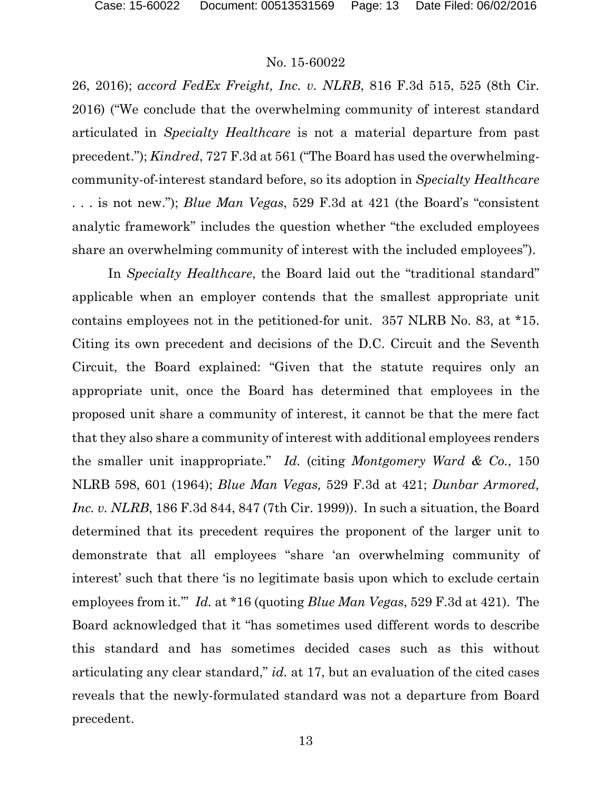26, 2016); *accord FedEx Freight, Inc. v. NLRB*, 816 F.3d 515, 525 (8th Cir. 2016) ("We conclude that the overwhelming community of interest standard articulated in *Specialty Healthcare* is not a material departure from past precedent."); *Kindred*, 727 F.3d at 561 ("The Board has used the overwhelmingcommunity-of-interest standard before, so its adoption in *Specialty Healthcare* . . . is not new."); *Blue Man Vegas*, 529 F.3d at 421 (the Board's "consistent analytic framework" includes the question whether "the excluded employees share an overwhelming community of interest with the included employees").

In *Specialty Healthcare*, the Board laid out the "traditional standard" applicable when an employer contends that the smallest appropriate unit contains employees not in the petitioned-for unit. 357 NLRB No. 83, at \*15. Citing its own precedent and decisions of the D.C. Circuit and the Seventh Circuit, the Board explained: "Given that the statute requires only an appropriate unit, once the Board has determined that employees in the proposed unit share a community of interest, it cannot be that the mere fact that they also share a community of interest with additional employees renders the smaller unit inappropriate." *Id.* (citing *Montgomery Ward & Co.*, 150 NLRB 598, 601 (1964); *Blue Man Vegas,* 529 F.3d at 421; *Dunbar Armored, Inc. v. NLRB*, 186 F.3d 844, 847 (7th Cir. 1999)). In such a situation, the Board determined that its precedent requires the proponent of the larger unit to demonstrate that all employees "share 'an overwhelming community of interest' such that there 'is no legitimate basis upon which to exclude certain employees from it.'" *Id.* at \*16 (quoting *Blue Man Vegas*, 529 F.3d at 421). The Board acknowledged that it "has sometimes used different words to describe this standard and has sometimes decided cases such as this without articulating any clear standard," *id.* at 17, but an evaluation of the cited cases reveals that the newly-formulated standard was not a departure from Board precedent.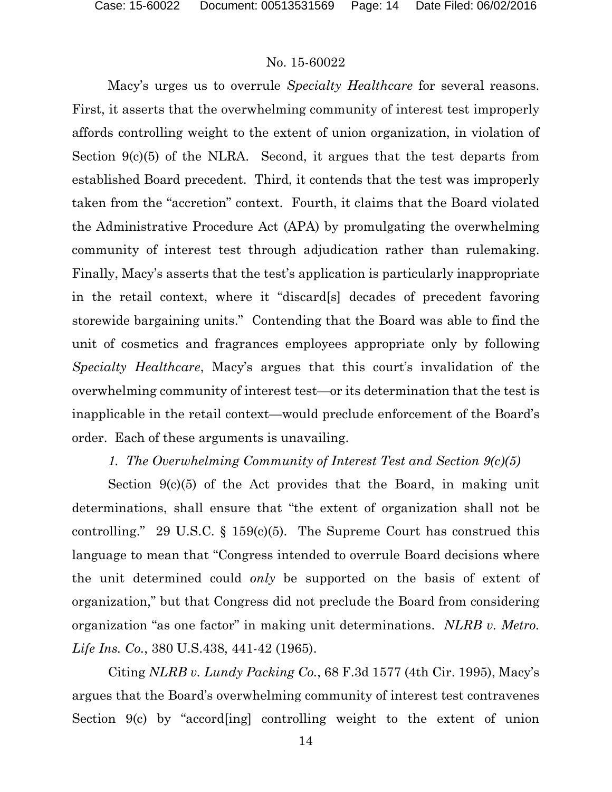Macy's urges us to overrule *Specialty Healthcare* for several reasons. First, it asserts that the overwhelming community of interest test improperly affords controlling weight to the extent of union organization, in violation of Section 9(c)(5) of the NLRA. Second, it argues that the test departs from established Board precedent. Third, it contends that the test was improperly taken from the "accretion" context. Fourth, it claims that the Board violated the Administrative Procedure Act (APA) by promulgating the overwhelming community of interest test through adjudication rather than rulemaking. Finally, Macy's asserts that the test's application is particularly inappropriate in the retail context, where it "discard[s] decades of precedent favoring storewide bargaining units." Contending that the Board was able to find the unit of cosmetics and fragrances employees appropriate only by following *Specialty Healthcare*, Macy's argues that this court's invalidation of the overwhelming community of interest test—or its determination that the test is inapplicable in the retail context—would preclude enforcement of the Board's order. Each of these arguments is unavailing.

### *1. The Overwhelming Community of Interest Test and Section 9(c)(5)*

Section 9(c)(5) of the Act provides that the Board, in making unit determinations, shall ensure that "the extent of organization shall not be controlling." 29 U.S.C.  $\S$  159(c)(5). The Supreme Court has construed this language to mean that "Congress intended to overrule Board decisions where the unit determined could *only* be supported on the basis of extent of organization," but that Congress did not preclude the Board from considering organization "as one factor" in making unit determinations. *NLRB v. Metro. Life Ins. Co.*, 380 U.S.438, 441-42 (1965).

Citing *NLRB v. Lundy Packing Co.*, 68 F.3d 1577 (4th Cir. 1995), Macy's argues that the Board's overwhelming community of interest test contravenes Section 9(c) by "accord[ing] controlling weight to the extent of union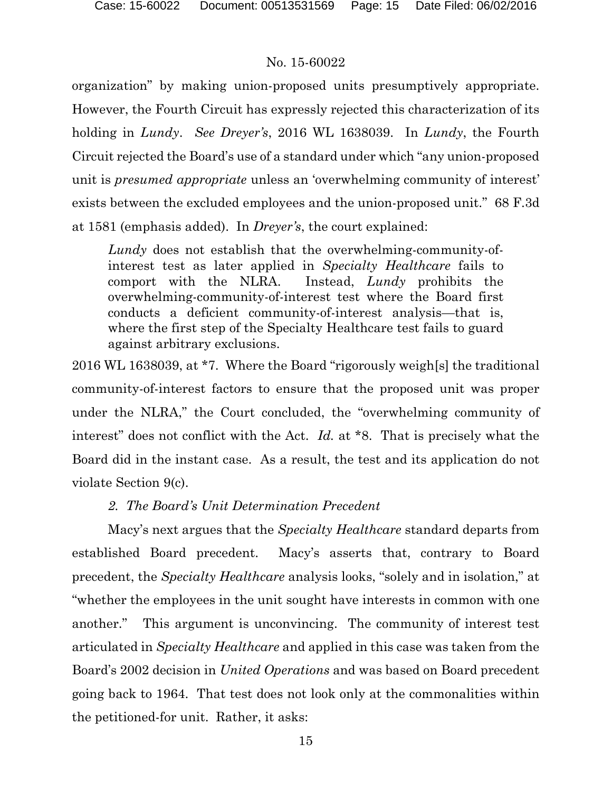organization" by making union-proposed units presumptively appropriate. However, the Fourth Circuit has expressly rejected this characterization of its holding in *Lundy*. *See Dreyer's*, 2016 WL 1638039. In *Lundy*, the Fourth Circuit rejected the Board's use of a standard under which "any union-proposed unit is *presumed appropriate* unless an 'overwhelming community of interest' exists between the excluded employees and the union-proposed unit." 68 F.3d at 1581 (emphasis added). In *Dreyer's*, the court explained:

*Lundy* does not establish that the overwhelming-community-ofinterest test as later applied in *Specialty Healthcare* fails to comport with the NLRA. Instead, *Lundy* prohibits the overwhelming-community-of-interest test where the Board first conducts a deficient community-of-interest analysis—that is, where the first step of the Specialty Healthcare test fails to guard against arbitrary exclusions.

2016 WL 1638039, at \*7. Where the Board "rigorously weigh[s] the traditional community-of-interest factors to ensure that the proposed unit was proper under the NLRA," the Court concluded, the "overwhelming community of interest" does not conflict with the Act. *Id.* at \*8. That is precisely what the Board did in the instant case. As a result, the test and its application do not violate Section 9(c).

### *2. The Board's Unit Determination Precedent*

Macy's next argues that the *Specialty Healthcare* standard departs from established Board precedent. Macy's asserts that, contrary to Board precedent, the *Specialty Healthcare* analysis looks, "solely and in isolation," at "whether the employees in the unit sought have interests in common with one another." This argument is unconvincing. The community of interest test articulated in *Specialty Healthcare* and applied in this case was taken from the Board's 2002 decision in *United Operations* and was based on Board precedent going back to 1964. That test does not look only at the commonalities within the petitioned-for unit. Rather, it asks: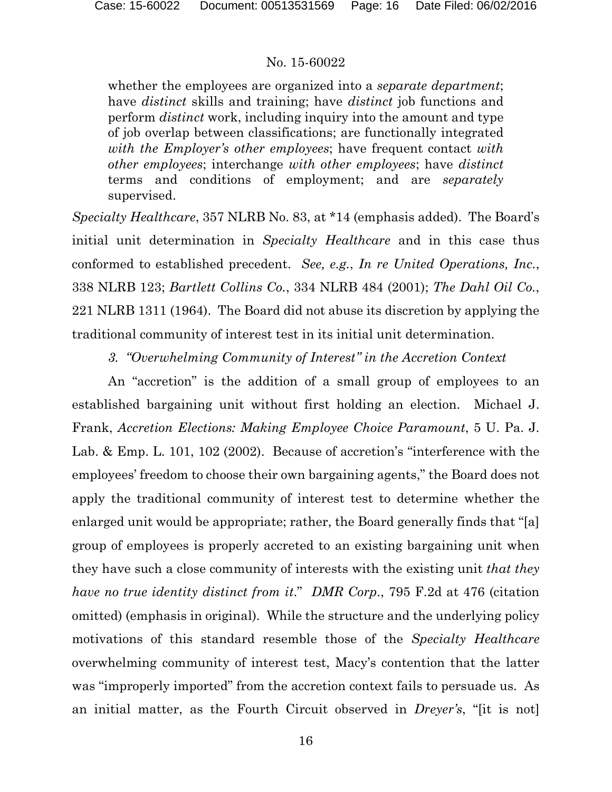whether the employees are organized into a *separate department*; have *distinct* skills and training; have *distinct* job functions and perform *distinct* work, including inquiry into the amount and type of job overlap between classifications; are functionally integrated *with the Employer's other employees*; have frequent contact *with other employees*; interchange *with other employees*; have *distinct* terms and conditions of employment; and are *separately* supervised.

*Specialty Healthcare*, 357 NLRB No. 83, at \*14 (emphasis added). The Board's initial unit determination in *Specialty Healthcare* and in this case thus conformed to established precedent. *See, e.g.*, *In re United Operations, Inc.*, 338 NLRB 123; *Bartlett Collins Co.*, 334 NLRB 484 (2001); *The Dahl Oil Co.*, 221 NLRB 1311 (1964). The Board did not abuse its discretion by applying the traditional community of interest test in its initial unit determination.

*3. "Overwhelming Community of Interest" in the Accretion Context*

An "accretion" is the addition of a small group of employees to an established bargaining unit without first holding an election. Michael J. Frank, *Accretion Elections: Making Employee Choice Paramount*, 5 U. Pa. J. Lab. & Emp. L. 101, 102 (2002). Because of accretion's "interference with the employees' freedom to choose their own bargaining agents," the Board does not apply the traditional community of interest test to determine whether the enlarged unit would be appropriate; rather, the Board generally finds that "[a] group of employees is properly accreted to an existing bargaining unit when they have such a close community of interests with the existing unit *that they have no true identity distinct from it*." *DMR Corp*., 795 F.2d at 476 (citation omitted) (emphasis in original). While the structure and the underlying policy motivations of this standard resemble those of the *Specialty Healthcare* overwhelming community of interest test, Macy's contention that the latter was "improperly imported" from the accretion context fails to persuade us. As an initial matter, as the Fourth Circuit observed in *Dreyer's*, "[it is not]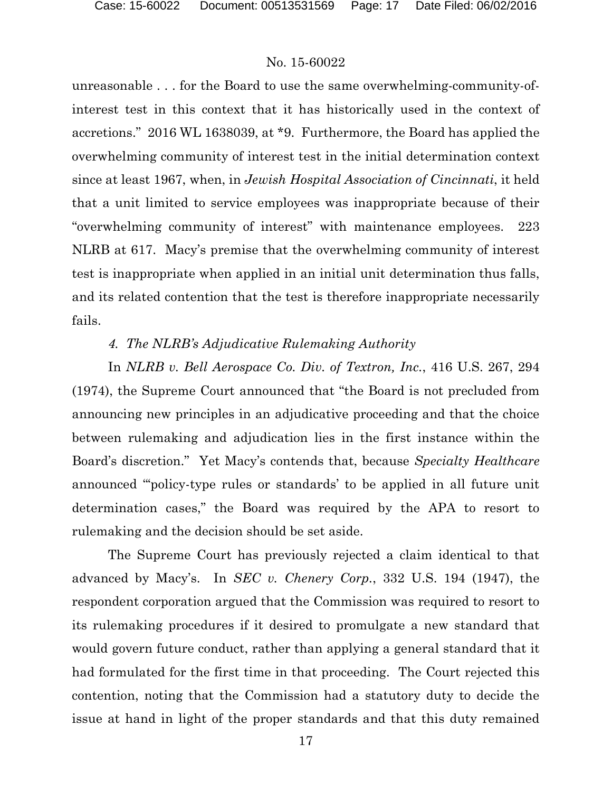unreasonable . . . for the Board to use the same overwhelming-community-ofinterest test in this context that it has historically used in the context of accretions." 2016 WL 1638039, at \*9. Furthermore, the Board has applied the overwhelming community of interest test in the initial determination context since at least 1967, when, in *Jewish Hospital Association of Cincinnati*, it held that a unit limited to service employees was inappropriate because of their "overwhelming community of interest" with maintenance employees. 223 NLRB at 617. Macy's premise that the overwhelming community of interest test is inappropriate when applied in an initial unit determination thus falls, and its related contention that the test is therefore inappropriate necessarily fails.

### *4. The NLRB's Adjudicative Rulemaking Authority*

In *NLRB v. Bell Aerospace Co. Div. of Textron, Inc.*, 416 U.S. 267, 294 (1974), the Supreme Court announced that "the Board is not precluded from announcing new principles in an adjudicative proceeding and that the choice between rulemaking and adjudication lies in the first instance within the Board's discretion." Yet Macy's contends that, because *Specialty Healthcare* announced "'policy-type rules or standards' to be applied in all future unit determination cases," the Board was required by the APA to resort to rulemaking and the decision should be set aside.

The Supreme Court has previously rejected a claim identical to that advanced by Macy's. In *SEC v. Chenery Corp.*, 332 U.S. 194 (1947), the respondent corporation argued that the Commission was required to resort to its rulemaking procedures if it desired to promulgate a new standard that would govern future conduct, rather than applying a general standard that it had formulated for the first time in that proceeding. The Court rejected this contention, noting that the Commission had a statutory duty to decide the issue at hand in light of the proper standards and that this duty remained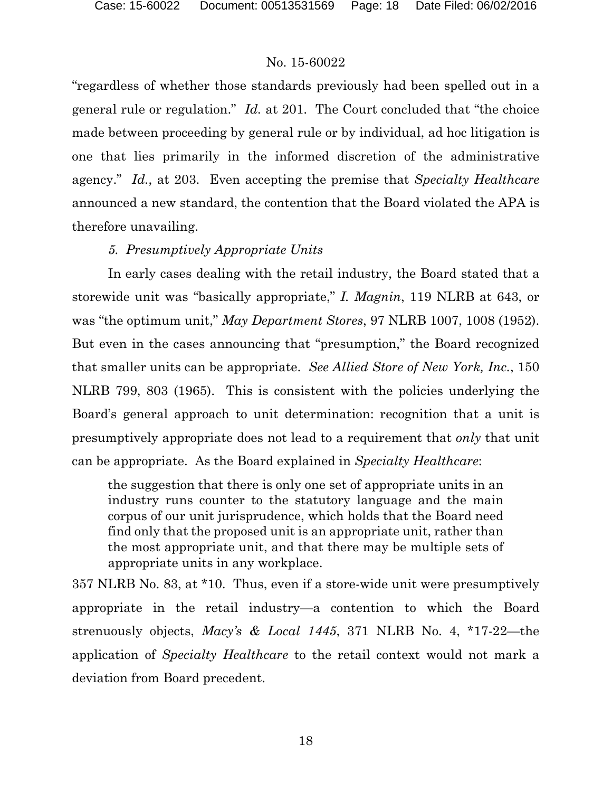"regardless of whether those standards previously had been spelled out in a general rule or regulation." *Id.* at 201. The Court concluded that "the choice made between proceeding by general rule or by individual, ad hoc litigation is one that lies primarily in the informed discretion of the administrative agency." *Id.*, at 203. Even accepting the premise that *Specialty Healthcare* announced a new standard, the contention that the Board violated the APA is therefore unavailing.

# *5. Presumptively Appropriate Units*

In early cases dealing with the retail industry, the Board stated that a storewide unit was "basically appropriate," *I. Magnin*, 119 NLRB at 643, or was "the optimum unit," *May Department Stores*, 97 NLRB 1007, 1008 (1952). But even in the cases announcing that "presumption," the Board recognized that smaller units can be appropriate. *See Allied Store of New York, Inc.*, 150 NLRB 799, 803 (1965). This is consistent with the policies underlying the Board's general approach to unit determination: recognition that a unit is presumptively appropriate does not lead to a requirement that *only* that unit can be appropriate. As the Board explained in *Specialty Healthcare*:

the suggestion that there is only one set of appropriate units in an industry runs counter to the statutory language and the main corpus of our unit jurisprudence, which holds that the Board need find only that the proposed unit is an appropriate unit, rather than the most appropriate unit, and that there may be multiple sets of appropriate units in any workplace.

357 NLRB No. 83, at \*10. Thus, even if a store-wide unit were presumptively appropriate in the retail industry—a contention to which the Board strenuously objects, *Macy's & Local 1445*, 371 NLRB No. 4, \*17-22—the application of *Specialty Healthcare* to the retail context would not mark a deviation from Board precedent.